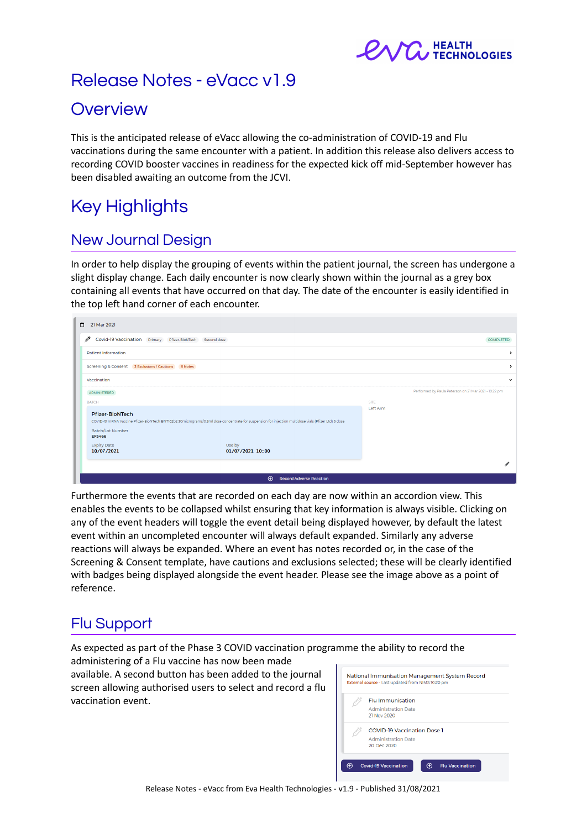

# Release Notes - eVacc v1.9

## **Overview**

This is the anticipated release of eVacc allowing the co-administration of COVID-19 and Flu vaccinations during the same encounter with a patient. In addition this release also delivers access to recording COVID booster vaccines in readiness for the expected kick off mid-September however has been disabled awaiting an outcome from the JCVI.

# Key Highlights

## New Journal Design

In order to help display the grouping of events within the patient journal, the screen has undergone a slight display change. Each daily encounter is now clearly shown within the journal as a grey box containing all events that have occurred on that day. The date of the encounter is easily identified in the top left hand corner of each encounter.

| $\Box$<br>21 Mar 2021                                |                                                                                                                                                     |             |                                                       |
|------------------------------------------------------|-----------------------------------------------------------------------------------------------------------------------------------------------------|-------------|-------------------------------------------------------|
| s.<br>Covid-19 Vaccination Primary Pfizer-BioNTech   | Second dose                                                                                                                                         |             | COMPLETED                                             |
| <b>Patient Information</b>                           |                                                                                                                                                     |             | $\rightarrow$                                         |
| Screening & Consent 3 Exclusions / Cautions B Notes  |                                                                                                                                                     |             | →                                                     |
| Vaccination                                          |                                                                                                                                                     |             | $\checkmark$                                          |
| ADMINISTERED                                         |                                                                                                                                                     |             | Performed by Paula Peterson on 21 Mar 2021 - 10:22 pm |
| <b>BATCH</b>                                         |                                                                                                                                                     | <b>SITE</b> |                                                       |
| <b>Pfizer-BioNTech</b><br>Batch/Lot Number<br>EF5466 | COVID-19 mRNA Vaccine Pfizer-BioNTech BNT162b2 30micrograms/0.3ml dose concentrate for suspension for injection multidose vials (Pfizer Ltd) 6 dose | Left Arm    |                                                       |
| <b>Expiry Date</b><br>10/07/2021                     | Use by<br>01/07/2021 10:00                                                                                                                          |             |                                                       |
|                                                      | $\oplus$<br><b>Record Adverse Reaction</b>                                                                                                          |             |                                                       |

Furthermore the events that are recorded on each day are now within an accordion view. This enables the events to be collapsed whilst ensuring that key information is always visible. Clicking on any of the event headers will toggle the event detail being displayed however, by default the latest event within an uncompleted encounter will always default expanded. Similarly any adverse reactions will always be expanded. Where an event has notes recorded or, in the case of the Screening & Consent template, have cautions and exclusions selected; these will be clearly identified with badges being displayed alongside the event header. Please see the image above as a point of reference.

## Flu Support

As expected as part of the Phase 3 COVID vaccination programme the ability to record the

administering of a Flu vaccine has now been made available. A second button has been added to the journal screen allowing authorised users to select and record a flu vaccination event.

| <b>Flu Immunisation</b>     |  |
|-----------------------------|--|
| <b>Administration Date</b>  |  |
| 21 Nov 2020                 |  |
| COVID-19 Vaccination Dose 1 |  |
| <b>Administration Date</b>  |  |
| 20 Dec 2020                 |  |

Release Notes - eVacc from Eva Health Technologies - v1.9 - Published 31/08/2021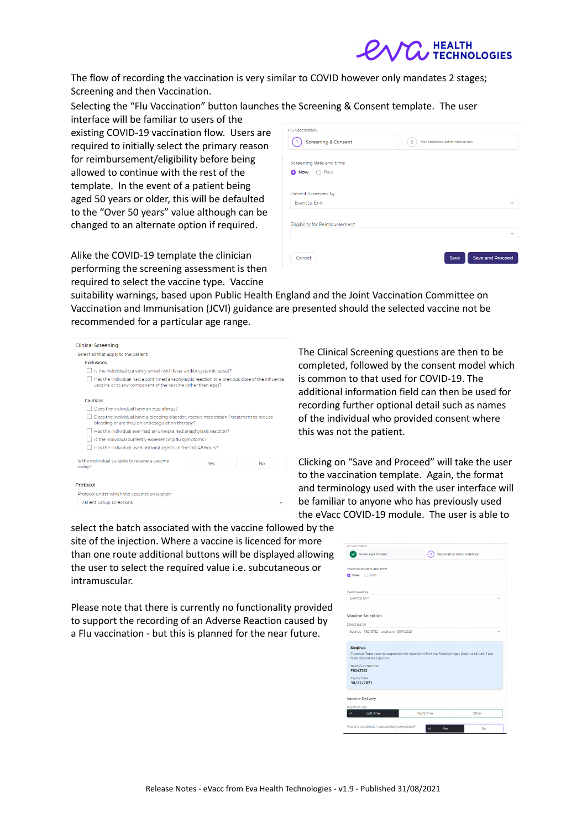

The flow of recording the vaccination is very similar to COVID however only mandates 2 stages; Screening and then Vaccination.

Selecting the "Flu Vaccination" button launches the Screening & Consent template. The user

interface will be familiar to users of the existing COVID-19 vaccination flow. Users are required to initially select the primary reason for reimbursement/eligibility before being allowed to continue with the rest of the template. In the event of a patient being aged 50 years or older, this will be defaulted to the "Over 50 years" value although can be changed to an alternate option if required.

Alike the COVID-19 template the clinician performing the screening assessment is then required to select the vaccine type. Vaccine

| Flu Vaccination                      |                                              |
|--------------------------------------|----------------------------------------------|
| <b>Screening &amp; Consent</b>       | Vaccination Administration<br>$\overline{2}$ |
| Screening date and time              |                                              |
| <b>Now</b><br>Past<br>۰<br>. .       |                                              |
| Patient Screened by                  |                                              |
| Evarista, Erin                       | $\checkmark$                                 |
| <b>Eligibility for Reimbursement</b> |                                              |
|                                      | $\checkmark$                                 |
| Cancel                               | <b>Save and Proceed</b><br>Save              |
|                                      |                                              |

suitability warnings, based upon Public Health England and the Joint Vaccination Committee on Vaccination and Immunisation (JCVI) guidance are presented should the selected vaccine not be recommended for a particular age range.

| <b>Clinical Screening</b>                                                                                                                                    |     |              |
|--------------------------------------------------------------------------------------------------------------------------------------------------------------|-----|--------------|
| Select all that apply to the patient:                                                                                                                        |     |              |
| <b>Exclusions</b>                                                                                                                                            |     |              |
| Is the individual currently unwell with fever and/or systemic upset?                                                                                         |     |              |
| Has the individual had a confirmed anaphylactic reaction to a previous dose of the influenza<br>vaccine or to any component of the vaccine (other than egg)? |     |              |
| Cautions                                                                                                                                                     |     |              |
| Does the individual have an egg allergy?                                                                                                                     |     |              |
| Does the individual have a bleeding disorder, receive medication / treatment to reduce<br>bleeding or are they on anticoagulation therapy?                   |     |              |
| Has the individual ever had an unexplained anaphylaxis reaction?                                                                                             |     |              |
| Is the individual currently experiencing flu symptoms?                                                                                                       |     |              |
| Has the individual used antiviral agents in the last 48 hours?                                                                                               |     |              |
| Is the individual suitable to receive a vaccine<br>today?                                                                                                    | Yes | <b>No</b>    |
| Protocol                                                                                                                                                     |     |              |
| Protocol under which the vaccination is given                                                                                                                |     |              |
| <b>Patient Group Directions</b>                                                                                                                              |     | $\checkmark$ |
|                                                                                                                                                              |     |              |

The Clinical Screening questions are then to be completed, followed by the consent model which is common to that used for COVID-19. The additional information field can then be used for recording further optional detail such as names of the individual who provided consent where this was not the patient.

Clicking on "Save and Proceed" will take the user to the vaccination template. Again, the format and terminology used with the user interface will be familiar to anyone who has previously used the eVacc COVID-19 module. The user is able to

select the batch associated with the vaccine followed by the site of the injection. Where a vaccine is licenced for more than one route additional buttons will be displayed allowing the user to select the required value i.e. subcutaneous or intramuscular.

Please note that there is currently no functionality provided to support the recording of an Adverse Reaction caused by a Flu vaccination - but this is planned for the near future.

| Flu Vaccination                             |                                                                                                    |                            |
|---------------------------------------------|----------------------------------------------------------------------------------------------------|----------------------------|
| <b>Screening &amp; Consent</b>              | $\overline{2}$                                                                                     | Vaccination Administration |
| Vaccination date and time                   |                                                                                                    |                            |
| O Now O Past                                |                                                                                                    |                            |
| Vaccinated by                               |                                                                                                    |                            |
| Evarista, Erin                              |                                                                                                    |                            |
| <b>Vaccine Selection</b>                    |                                                                                                    |                            |
| <b>Select Batch</b>                         |                                                                                                    |                            |
| Segirus - F8243752 - expires on 30/11/2021  |                                                                                                    |                            |
|                                             |                                                                                                    |                            |
| <b>Segirus</b>                              |                                                                                                    |                            |
| filled disposable injection                 | Flucelvax Tetra vaccine suspension for injection 0.5ml pre-filled syringes (Segirus UK Ltd) 1 pre- |                            |
| Batch/Lot Number<br>F8243752                |                                                                                                    |                            |
| <b>Expiry Date</b><br>30/11/2021            |                                                                                                    |                            |
| Vaccine Delivery                            |                                                                                                    |                            |
|                                             |                                                                                                    |                            |
| <b>Injection Site</b><br>Left Arm           | <b>Right Arm</b>                                                                                   | Other                      |
| Was the vaccination successfully completed? | ⊽<br>Yes                                                                                           | No                         |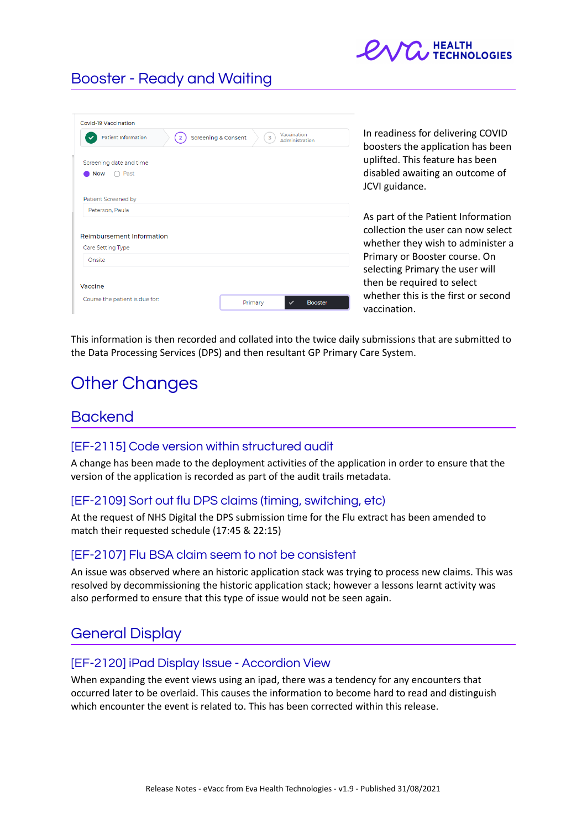

### Booster - Ready and Waiting

| Covid-19 Vaccination                                                           |                                                                                      |                                                                        |
|--------------------------------------------------------------------------------|--------------------------------------------------------------------------------------|------------------------------------------------------------------------|
| <b>Patient Information</b><br><b>Screening &amp; Consent</b><br>$\overline{2}$ | Vaccination<br>$\overline{3}$<br>Administration                                      | In readiness for delivering COVID<br>boosters the application has been |
| Screening date and time                                                        | uplifted. This feature has been<br>disabled awaiting an outcome of<br>JCVI guidance. |                                                                        |
| Past<br><b>Now</b>                                                             |                                                                                      |                                                                        |
| Patient Screened by                                                            |                                                                                      |                                                                        |
| Peterson, Paula                                                                |                                                                                      |                                                                        |
|                                                                                |                                                                                      | As part of the Patient Information                                     |
| Reimbursement Information                                                      |                                                                                      | collection the user can now select                                     |
| Care Setting Type                                                              |                                                                                      | whether they wish to administer a                                      |
| Onsite                                                                         |                                                                                      | Primary or Booster course. On                                          |
|                                                                                |                                                                                      | selecting Primary the user will                                        |
| Vaccine                                                                        |                                                                                      | then be required to select                                             |
| Course the patient is due for:                                                 | <b>Booster</b><br>Primary<br>$\checkmark$                                            | whether this is the first or second<br>vaccination.                    |

This information is then recorded and collated into the twice daily submissions that are submitted to the Data Processing Services (DPS) and then resultant GP Primary Care System.

# Other Changes

### **Backend**

#### [EF-2115] Code version within structured audit

A change has been made to the deployment activities of the application in order to ensure that the version of the application is recorded as part of the audit trails metadata.

#### [EF-2109] Sort out flu DPS claims (timing, switching, etc)

At the request of NHS Digital the DPS submission time for the Flu extract has been amended to match their requested schedule (17:45 & 22:15)

#### [EF-2107] Flu BSA claim seem to not be consistent

An issue was observed where an historic application stack was trying to process new claims. This was resolved by decommissioning the historic application stack; however a lessons learnt activity was also performed to ensure that this type of issue would not be seen again.

### General Display

#### [EF-2120] iPad Display Issue - Accordion View

When expanding the event views using an ipad, there was a tendency for any encounters that occurred later to be overlaid. This causes the information to become hard to read and distinguish which encounter the event is related to. This has been corrected within this release.